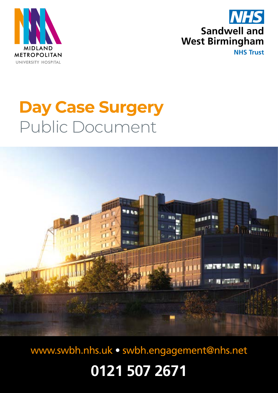



**NHS Trust**

# **Day Case Surgery**  Public Document



[www.swbh.nhs.uk](http://www.swbh.nhs.uk) • [swbh.engagement@nhs.net](mailto:swbh.engagement%40nhs.net?subject=)

**0121 507 2671**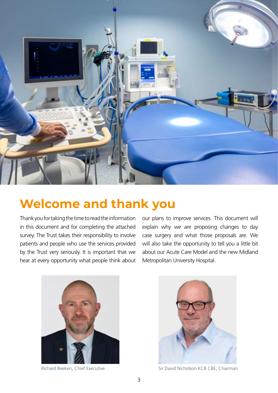

# **Welcome and thank you**

Thank you for taking the time to read the information in this document and for completing the attached survey. The Trust takes their responsibility to involve patients and people who use the services provided by the Trust very seriously. It is important that we hear at every opportunity what people think about our plans to improve services. This document will explain why we are proposing changes to day case surgery and what those proposals are. We will also take the opportunity to tell you a little bit about our Acute Care Model and the new Midland Metropolitan University Hospital.





Richard Beeken, Chief Executive Sir David Nicholson KCB CBE, Chairman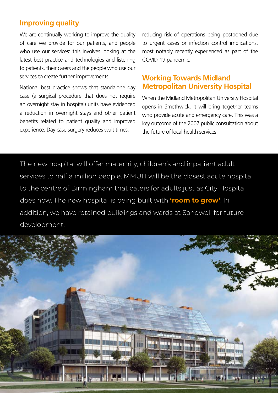# **Improving quality**

We are continually working to improve the quality of care we provide for our patients, and people who use our services: this involves looking at the latest best practice and technologies and listening to patients, their carers and the people who use our services to create further improvements.

National best practice shows that standalone day case (a surgical procedure that does not require an overnight stay in hospital) units have evidenced a reduction in overnight stays and other patient benefits related to patient quality and improved experience. Day case surgery reduces wait times,

reducing risk of operations being postponed due to urgent cases or infection control implications, most notably recently experienced as part of the COVID-19 pandemic.

# **Working Towards Midland Metropolitan University Hospital**

When the Midland Metropolitan University Hospital opens in Smethwick, it will bring together teams who provide acute and emergency care. This was a key outcome of the 2007 public consultation about the future of local health services.

The new hospital will offer maternity, children's and inpatient adult services to half a million people. MMUH will be the closest acute hospital to the centre of Birmingham that caters for adults just as City Hospital does now. The new hospital is being built with **'room to grow'**. In addition, we have retained buildings and wards at Sandwell for future development.

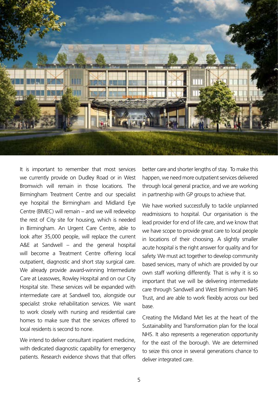

It is important to remember that most services we currently provide on Dudley Road or in West Bromwich will remain in those locations. The Birmingham Treatment Centre and our specialist eye hospital the Birmingham and Midland Eye Centre (BMEC) will remain – and we will redevelop the rest of City site for housing, which is needed in Birmingham. An Urgent Care Centre, able to look after 35,000 people, will replace the current A&E at Sandwell – and the general hospital will become a Treatment Centre offering local outpatient, diagnostic and short stay surgical care. We already provide award-winning Intermediate Care at Leasowes, Rowley Hospital and on our City Hospital site. These services will be expanded with intermediate care at Sandwell too, alongside our specialist stroke rehabilitation services. We want to work closely with nursing and residential care homes to make sure that the services offered to local residents is second to none.

We intend to deliver consultant inpatient medicine, with dedicated diagnostic capability for emergency patients. Research evidence shows that that offers

better care and shorter lengths of stay. To make this happen, we need more outpatient services delivered through local general practice, and we are working in partnership with GP groups to achieve that.

We have worked successfully to tackle unplanned readmissions to hospital. Our organisation is the lead provider for end of life care, and we know that we have scope to provide great care to local people in locations of their choosing. A slightly smaller acute hospital is the right answer for quality and for safety. We must act together to develop community based services, many of which are provided by our own staff working differently. That is why it is so important that we will be delivering intermediate care through Sandwell and West Birmingham NHS Trust, and are able to work flexibly across our bed base.

Creating the Midland Met lies at the heart of the Sustainability and Transformation plan for the local NHS. It also represents a regeneration opportunity for the east of the borough. We are determined to seize this once in several generations chance to deliver integrated care.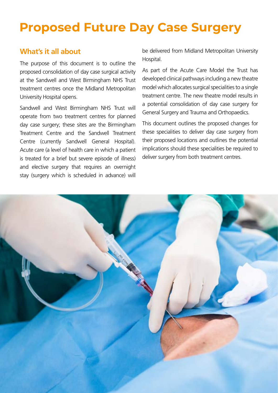# **Proposed Future Day Case Surgery**

#### **What's it all about**

The purpose of this document is to outline the proposed consolidation of day case surgical activity at the Sandwell and West Birmingham NHS Trust treatment centres once the Midland Metropolitan University Hospital opens.

Sandwell and West Birmingham NHS Trust will operate from two treatment centres for planned day case surgery; these sites are the Birmingham Treatment Centre and the Sandwell Treatment Centre (currently Sandwell General Hospital). Acute care (a level of health care in which a patient is treated for a brief but severe episode of illness) and elective surgery that requires an overnight stay (surgery which is scheduled in advance) will

be delivered from Midland Metropolitan University Hospital.

As part of the Acute Care Model the Trust has developed clinical pathways including a new theatre model which allocates surgical specialities to a single treatment centre. The new theatre model results in a potential consolidation of day case surgery for General Surgery and Trauma and Orthopaedics.

This document outlines the proposed changes for these specialities to deliver day case surgery from their proposed locations and outlines the potential implications should these specialities be required to deliver surgery from both treatment centres.

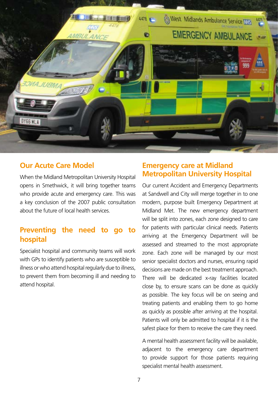

#### **Our Acute Care Model**

When the Midland Metropolitan University Hospital opens in Smethwick, it will bring together teams who provide acute and emergency care. This was a key conclusion of the 2007 public consultation about the future of local health services.

# **Preventing the need to go to hospital**

Specialist hospital and community teams will work with GPs to identify patients who are susceptible to illness or who attend hospital regularly due to illness, to prevent them from becoming ill and needing to attend hospital.

#### **Emergency care at Midland Metropolitan University Hospital**

Our current Accident and Emergency Departments at Sandwell and City will merge together in to one modern, purpose built Emergency Department at Midland Met. The new emergency department will be split into zones, each zone designed to care for patients with particular clinical needs. Patients arriving at the Emergency Department will be assessed and streamed to the most appropriate zone. Each zone will be managed by our most senior specialist doctors and nurses, ensuring rapid decisions are made on the best treatment approach. There will be dedicated x-ray facilities located close by, to ensure scans can be done as quickly as possible. The key focus will be on seeing and treating patients and enabling them to go home as quickly as possible after arriving at the hospital. Patients will only be admitted to hospital if it is the safest place for them to receive the care they need.

A mental health assessment facility will be available, adjacent to the emergency care department to provide support for those patients requiring specialist mental health assessment.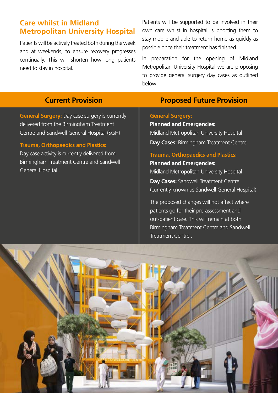# **Care whilst in Midland Metropolitan University Hospital**

Patients will be actively treated both during the week and at weekends, to ensure recovery progresses continually. This will shorten how long patients need to stay in hospital.

Patients will be supported to be involved in their own care whilst in hospital, supporting them to stay mobile and able to return home as quickly as possible once their treatment has finished.

In preparation for the opening of Midland Metropolitan University Hospital we are proposing to provide general surgery day cases as outlined below:

# **Current Provision**

**General Surgery:** Day case surgery is currently delivered from the Birmingham Treatment Centre and Sandwell General Hospital (SGH)

#### **Trauma, Orthopaedics and Plastics:**

Day case activity is currently delivered from Birmingham Treatment Centre and Sandwell General Hospital .

# **Proposed Future Provision**

#### **General Surgery:**

**Planned and Emergencies:** Midland Metropolitan University Hospital **Day Cases:** Birmingham Treatment Centre

#### **Trauma, Orthopaedics and Plastics:**

#### **Planned and Emergencies:** Midland Metropolitan University Hospital **Day Cases:** Sandwell Treatment Centre (currently known as Sandwell General Hospital)

The proposed changes will not affect where patients go for their pre-assessment and out-patient care. This will remain at both Birmingham Treatment Centre and Sandwell Treatment Centre .

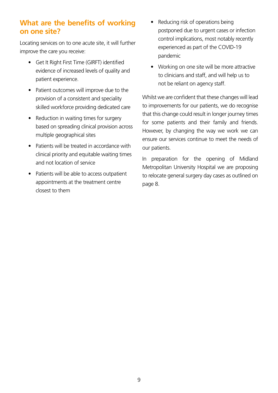# **What are the benefits of working on one site?**

Locating services on to one acute site, it will further improve the care you receive:

- Get It Right First Time (GIRFT) identified evidence of increased levels of quality and patient experience.
- Patient outcomes will improve due to the provision of a consistent and speciality skilled workforce providing dedicated care
- Reduction in waiting times for surgery based on spreading clinical provision across multiple geographical sites
- Patients will be treated in accordance with clinical priority and equitable waiting times and not location of service
- Patients will be able to access outpatient appointments at the treatment centre closest to them
- Reducing risk of operations being postponed due to urgent cases or infection control implications, most notably recently experienced as part of the COVID-19 pandemic
- Working on one site will be more attractive to clinicians and staff, and will help us to not be reliant on agency staff.

Whilst we are confident that these changes will lead to improvements for our patients, we do recognise that this change could result in longer journey times for some patients and their family and friends. However, by changing the way we work we can ensure our services continue to meet the needs of our patients.

In preparation for the opening of Midland Metropolitan University Hospital we are proposing to relocate general surgery day cases as outlined on page 8.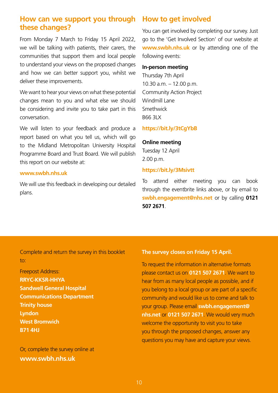### **How can we support you through these changes?**

From Monday 7 March to Friday 15 April 2022, we will be talking with patients, their carers, the communities that support them and local people to understand your views on the proposed changes and how we can better support you, whilst we deliver these improvements.

We want to hear your views on what these potential changes mean to you and what else we should be considering and invite you to take part in this conversation.

We will listen to your feedback and produce a report based on what you tell us, which will go to the Midland Metropolitan University Hospital Programme Board and Trust Board. We will publish this report on our website at:

#### **www.swbh.nhs.uk**

We will use this feedback in developing our detailed plans.

#### **How to get involved**

You can get involved by completing our survey. Just go to the 'Get Involved Section' of our website at **[www.swbh.nhs.uk](http://www.swbh.nhs.uk)** or by attending one of the following events:

#### **In-person meeting**

Thursday 7th April 10.30 a.m. – 12.00 p.m. Community Action Project Windmill Lane Smethwick B66 3LX

#### **<https://bit.ly/3tCgYbB>**

#### **Online meeting**

Tuesday 12 April 2.00 p.m.

#### **<https://bit.ly/3Msivtt>**

To attend either meeting you can book through the eventbrite links above, or by email to **[swbh.engagement@nhs.net](mailto:swbh.engagement%40nhs.net?subject=)** or by calling **0121 507 2671**.

#### Complete and return the survey in this booklet to:

Freepost Address: **RRYC-KKSR-HHYA Sandwell General Hospital Communications Department Trinity house Lyndon West Bromwich B71 4HJ**

Or, complete the survey online at **[www.swbh.nhs.uk](mailto:www.swbh.nhs.uk?subject=)**

#### **The survey closes on Friday 15 April.**

To request the information in alternative formats please contact us on **0121 507 2671**. We want to hear from as many local people as possible, and if you belong to a local group or are part of a specific community and would like us to come and talk to your group. Please email **[swbh.engagement@](mailto:swbh.engagement%40nhs.net?subject=) [nhs.net](mailto:swbh.engagement%40nhs.net?subject=)** or **0121 507 2671**. We would very much welcome the opportunity to visit you to take you through the proposed changes, answer any questions you may have and capture your views.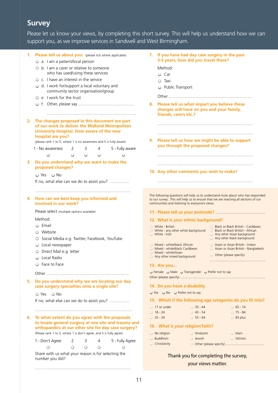# **Survey**

Please let us know your views, by completing this short survey. This will help us understand how we can support you, as we improve services in Sandwell and West Birmingham.

|    | 1. Please tell us about you: (please tick where applicable)                                                                | If you have had day case surgery in the past<br>7.                                                                                                                    |
|----|----------------------------------------------------------------------------------------------------------------------------|-----------------------------------------------------------------------------------------------------------------------------------------------------------------------|
|    | O a. I am a patient/local person                                                                                           | 3-5 years, how did you travel there?                                                                                                                                  |
|    | $\circ$ b. I am a carer or relative to someone                                                                             | Method:                                                                                                                                                               |
|    | who has used/using these services                                                                                          | $O$ Car                                                                                                                                                               |
|    | ○ c. I have an interest in the service                                                                                     | $\circ$ Taxi                                                                                                                                                          |
|    | ○ d. I work for/support a local voluntary and                                                                              | O Public Transport                                                                                                                                                    |
|    | community sector organisation/group                                                                                        |                                                                                                                                                                       |
|    | $\circ$ e. I work for the trust                                                                                            |                                                                                                                                                                       |
|    |                                                                                                                            | Please tell us what impact you believe these<br>8.                                                                                                                    |
|    |                                                                                                                            | changes will have on you and your family,                                                                                                                             |
|    |                                                                                                                            | friends, carers etc.?                                                                                                                                                 |
|    | 2. The changes proposed in this document are part                                                                          |                                                                                                                                                                       |
|    | of our work to deliver the Midland Metropolitan<br>University Hospital. How aware of the new                               |                                                                                                                                                                       |
|    | hospital are you?                                                                                                          |                                                                                                                                                                       |
|    | (please rank 1 to 5, where 1 is no awareness and 5 is fully aware)                                                         | Please tell us how we might be able to support<br>9.                                                                                                                  |
|    | 1 - No awareness<br>2<br>4<br>5 - Fully aware<br>3                                                                         | you through the proposed changes?                                                                                                                                     |
|    | $\circ$<br>◯<br>О<br>$\circ$<br>О                                                                                          |                                                                                                                                                                       |
|    |                                                                                                                            |                                                                                                                                                                       |
| 3. | Do you understand why we want to make the<br>proposed changes?                                                             |                                                                                                                                                                       |
|    | $\bigcirc$ Yes $\bigcirc$ No                                                                                               | 10. Any other comments you wish to make?                                                                                                                              |
|    |                                                                                                                            |                                                                                                                                                                       |
|    | If no, what else can we do to assist you?                                                                                  |                                                                                                                                                                       |
|    |                                                                                                                            |                                                                                                                                                                       |
| 4. | How can we best keep you informed and                                                                                      | The following questions will help us to understand more about who has responded<br>to our survey This will help us to ensure that we are reaching all sections of our |
|    | involved in our work?                                                                                                      | communities and listening to everyone's views.                                                                                                                        |
|    | Please select (multiple options available)                                                                                 |                                                                                                                                                                       |
|    | Method:                                                                                                                    | 12. What is your ethnic background?                                                                                                                                   |
|    | $O$ Email                                                                                                                  | ○ Black or Black British - Caribbean<br>$\circ$ White - British                                                                                                       |
|    | ○ Website                                                                                                                  | $\circ$ White - any other white background<br>○ Black or Black British - African                                                                                      |
|    | O Social Media e.g. Twitter, Facebook, YouTube                                                                             | $\circ$ White - Irish<br>○ Any other Asian background<br>○ Any other black background                                                                                 |
|    | O Local newspaper                                                                                                          | ○ Asian or Asian British - Indian<br>○ Mixed - white/black African                                                                                                    |
|    | O Direct Mail e.g. letter                                                                                                  | O Mixed - white/black Caribbean<br>○ Asian or Asian British - Bangladeshi<br>$\circ$ Mixed - white/Asian                                                              |
|    | O Local Radio                                                                                                              | $\circ$ Other (please specify)<br>$\circ$ Any other mixed background                                                                                                  |
|    | O Face to Face                                                                                                             |                                                                                                                                                                       |
|    |                                                                                                                            | 13. Are you                                                                                                                                                           |
|    |                                                                                                                            | O Female O Male O Transgender O Prefer not to say                                                                                                                     |
| 5. | Do you understand why we are locating our day                                                                              |                                                                                                                                                                       |
|    | case surgery specialties onto a single site?                                                                               | 14. Do you have a disability                                                                                                                                          |
|    | $\circ$ Yes $\circ$ No                                                                                                     | O Yes O No O Prefer not to say                                                                                                                                        |
|    | If no, what else can we do to assist you?                                                                                  | 15. Which if the following age categories do you fit into?                                                                                                            |
|    |                                                                                                                            | $\circ$ 35 - 44<br>$065 - 74$<br>$\circ$ 17 or under                                                                                                                  |
|    |                                                                                                                            | $0$ 18 - 24<br>$\circ$ 45 - 54<br>$O$ 75 - 84                                                                                                                         |
| 6. | To what extent do you agree with the proposals                                                                             | $025 - 34$<br>$055 - 64$<br>$\circ$ 85 plus                                                                                                                           |
|    | to locate general surgery at one site and trauma and                                                                       | 16. What is your religion/faith?                                                                                                                                      |
|    | orthopaedics at our other site for day case surgery?<br>(Please rank 1 to 5, where 1 is don't agree, and 5 is fully agree) | $\circ$ No religion<br>$\circ$ Hinduism<br>$\circ$ Islam                                                                                                              |
|    |                                                                                                                            | O Buddhism<br>○ Sikhism<br>$\circ$ Jewish                                                                                                                             |
|    | 1 - Don't Agree<br>5 - Fully Agree<br>2<br>3<br>4                                                                          | $\circ$ Christianity                                                                                                                                                  |
|    | $\circ$<br>$\bigcirc$<br>О<br>О<br>O                                                                                       |                                                                                                                                                                       |
|    | Share with us what your reason is for selecting the                                                                        | Thank you for completing the survey,                                                                                                                                  |
|    | number you did?                                                                                                            | your views matter.                                                                                                                                                    |
|    |                                                                                                                            |                                                                                                                                                                       |